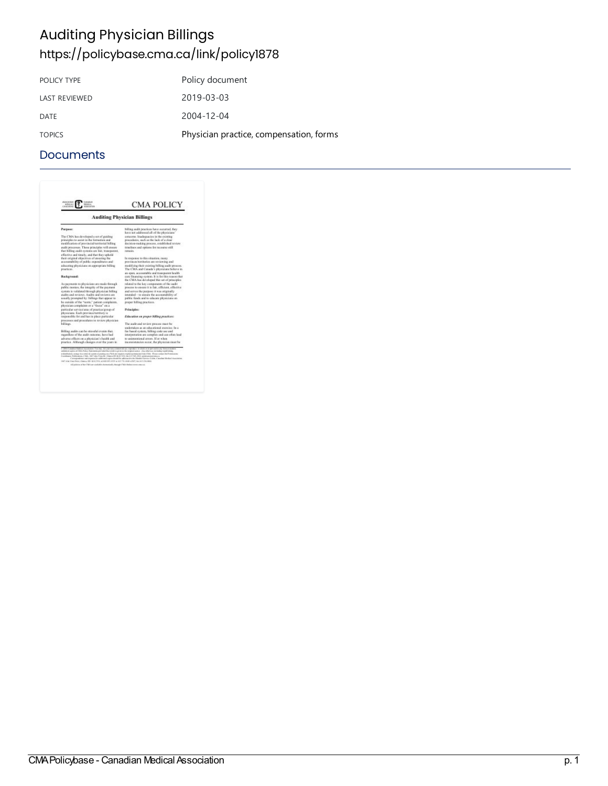# Auditing Physician Billings <https://policybase.cma.ca/link/policy1878>

| POLICY TYPE          | Policy document                         |
|----------------------|-----------------------------------------|
| <b>LAST REVIEWED</b> | 2019-03-03                              |
| DATE                 | $2004 - 12 - 04$                        |
| <b>TOPICS</b>        | Physician practice, compensation, forms |

|                                                                                                                                                                                                                                                                                                                                                                                                                                                                                                                                                                                                                                                                                                                            | <b>Auditing Physician Billings</b>                                                                                                                                             |
|----------------------------------------------------------------------------------------------------------------------------------------------------------------------------------------------------------------------------------------------------------------------------------------------------------------------------------------------------------------------------------------------------------------------------------------------------------------------------------------------------------------------------------------------------------------------------------------------------------------------------------------------------------------------------------------------------------------------------|--------------------------------------------------------------------------------------------------------------------------------------------------------------------------------|
| Purpose:                                                                                                                                                                                                                                                                                                                                                                                                                                                                                                                                                                                                                                                                                                                   | billing soals practices have ecourred, flaty-<br>have not addressed all of the physicians"                                                                                     |
| The CMA has developed a set of guiding<br>principles to assist in the formation and<br>modification of previncial territorial billing<br>audit processes. Those principles will create                                                                                                                                                                                                                                                                                                                                                                                                                                                                                                                                     | concerns. Inadequacies in the existing<br>procedures, such as the lack of a clear<br>decision-rasking process, established review<br>ticackness and epriors for recentee etil- |
| furt billing and it evidens are fair, transparent.<br>effective and timely, and that they uphold.                                                                                                                                                                                                                                                                                                                                                                                                                                                                                                                                                                                                                          | reputin.                                                                                                                                                                       |
| their original objectives of ensuring the<br>accountability of public expenditures and<br>adequating physicians on appropriate billing                                                                                                                                                                                                                                                                                                                                                                                                                                                                                                                                                                                     | In response to this situation, cases<br>provinces/territories are reviewing and<br>medifying their existing billing audit process.                                             |
| pearless.                                                                                                                                                                                                                                                                                                                                                                                                                                                                                                                                                                                                                                                                                                                  | The CMA and Canada's physicians believe in<br>an open, accountable and transnormt boalth.                                                                                      |
| <b>Hackground:</b>                                                                                                                                                                                                                                                                                                                                                                                                                                                                                                                                                                                                                                                                                                         | care financing system. It is for this reason that<br>the CMA has developed this set of principles.                                                                             |
| As payments to physicians are raule through<br>public raceics, the integrity of the payment.                                                                                                                                                                                                                                                                                                                                                                                                                                                                                                                                                                                                                               | related to the key components of the isadit<br>process to ensure it is fair, efficient, effective                                                                              |
| system is validated through physician billing<br>galles and reviews. Audits and reviews are<br>assally prempted by: billings that appear to                                                                                                                                                                                                                                                                                                                                                                                                                                                                                                                                                                                | and serves the purpose it was originally<br>intended - to ensure the accountability of<br>public finids and to educate physicians on                                           |
| be outside of the "norm," patient complaints,<br>physician complaints or a "fector" on a                                                                                                                                                                                                                                                                                                                                                                                                                                                                                                                                                                                                                                   | proper billing practices.                                                                                                                                                      |
| particular service/area of practice/group of<br>physicians. Each prevince/territory is                                                                                                                                                                                                                                                                                                                                                                                                                                                                                                                                                                                                                                     | Principles:                                                                                                                                                                    |
| responsible for and has in place particular-                                                                                                                                                                                                                                                                                                                                                                                                                                                                                                                                                                                                                                                                               | Education on proper billing proctices:                                                                                                                                         |
| processes and procedures to review physician<br>billings.                                                                                                                                                                                                                                                                                                                                                                                                                                                                                                                                                                                                                                                                  | The audit and texiew process must be                                                                                                                                           |
| Billing audits can be stressful overas that,                                                                                                                                                                                                                                                                                                                                                                                                                                                                                                                                                                                                                                                                               | undertaken as an educational exercise. In a<br>fee based system, billing code use and                                                                                          |
| regardless of the audit outcome, have had                                                                                                                                                                                                                                                                                                                                                                                                                                                                                                                                                                                                                                                                                  | interpretation are consplay and can offer lead                                                                                                                                 |
| adverso effects on a physician's bealth and<br>practice. Although changes over the years in                                                                                                                                                                                                                                                                                                                                                                                                                                                                                                                                                                                                                                | to unimportional genery. If or when<br>inconsistencies occur, the physician rates be-                                                                                          |
| C 2014 Condition Highly Chronication. You say, for your autocomposite suc, reproduce in while at in percent is only been or more<br>animized aspire of EBA's Policy Nutcentin per side that style is given to the original assets. Any other was including sopul initiaty<br>estaduatas, campo los entros departos partegonas ficiu atragaleceraplaci presidente de Chia. Plenar consenta en Premissioni<br>Combany Publications ("MA, 1967 Mrs Visualis, Ones ((95 K.)) 199, Sa (11 98. 2013, panis atoms) proces-<br>1407 Alle View Drien, Onerse (8): \$2.63 FPG, entert \$11,2015 at \$21.735 AASt (2007) the \$13 Statistick.<br>All painter of the CMA are coultable elements ally though CMA (believ reconstruction | Care greatment and requires for additional aspire denied by address the Steedey Greene Center. Canadian Mexican Association.                                                   |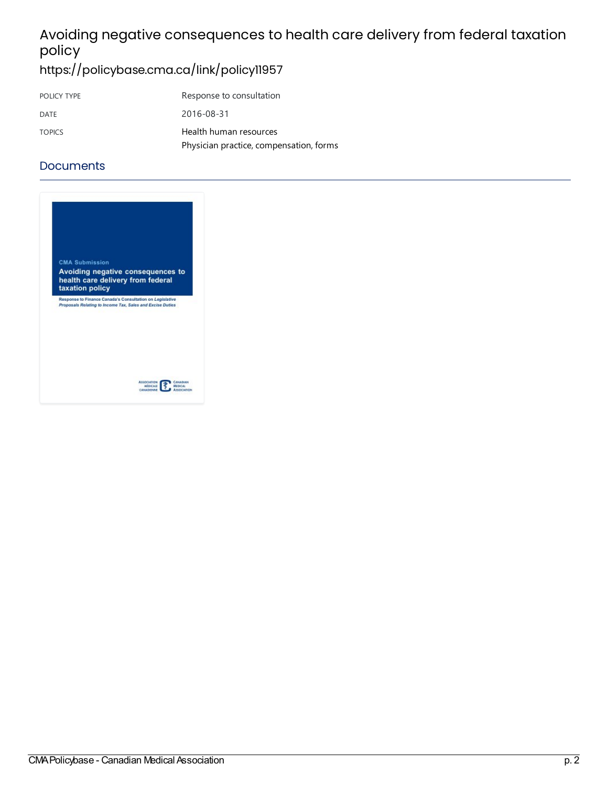# Avoiding negative consequences to health care delivery from federal taxation policy

<https://policybase.cma.ca/link/policy11957>

| POLICY TYPE   | Response to consultation                |
|---------------|-----------------------------------------|
| DATE          | 2016-08-31                              |
| <b>TOPICS</b> | Health human resources                  |
|               | Physician practice, compensation, forms |

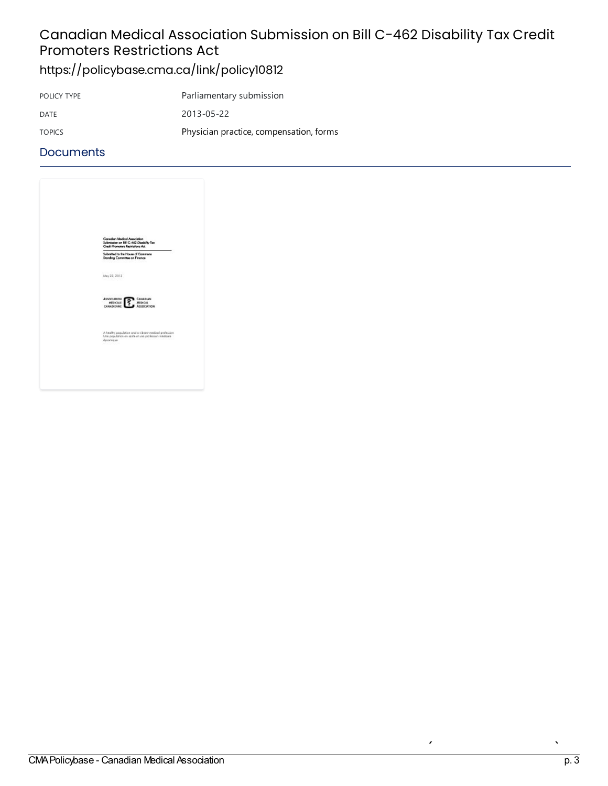### Canadian Medical Association Submission on Bill C-462 Disability Tax Credit Promoters Restrictions Act <https://policybase.cma.ca/link/policy10812>

| POLICY TYPE   | Parliamentary submission                |
|---------------|-----------------------------------------|
| DATE          | 2013-05-22                              |
| <b>TOPICS</b> | Physician practice, compensation, forms |

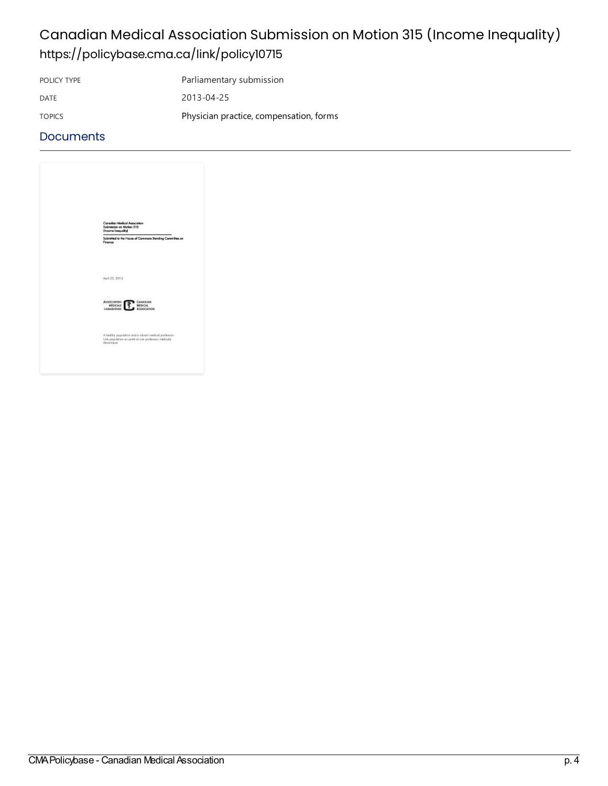## Canadian Medical Association Submission on Motion 315 (Income Inequality) <https://policybase.cma.ca/link/policy10715>

POLICY TYPE Parliamentary submission

DATE 2013-04-25

TOPICS **Physician practice, compensation, forms** 

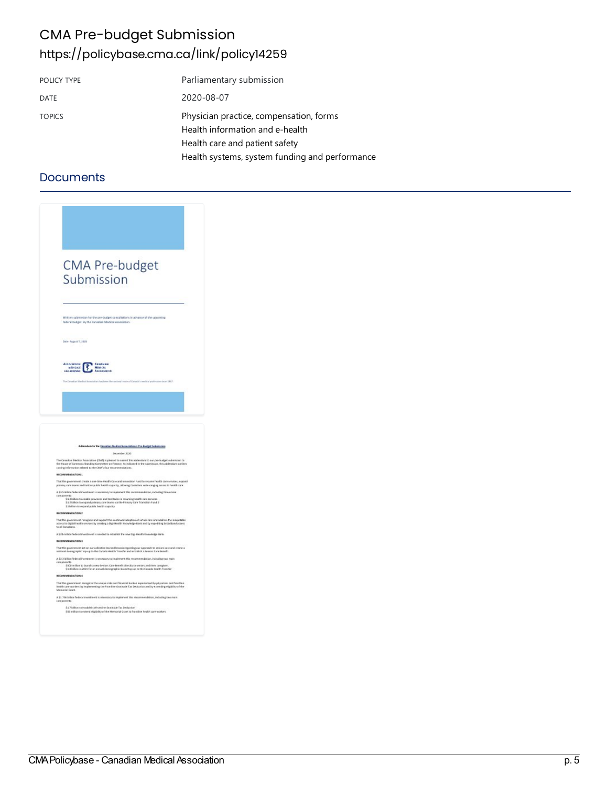### CMA Pre-budget Submission <https://policybase.cma.ca/link/policy14259>

| POLICY TYPE   | Parliamentary submission                                                                                     |
|---------------|--------------------------------------------------------------------------------------------------------------|
| <b>DATE</b>   | 2020-08-07                                                                                                   |
| <b>TOPICS</b> | Physician practice, compensation, forms<br>Health information and e-health<br>Health care and patient safety |
|               | Health systems, system funding and performance                                                               |

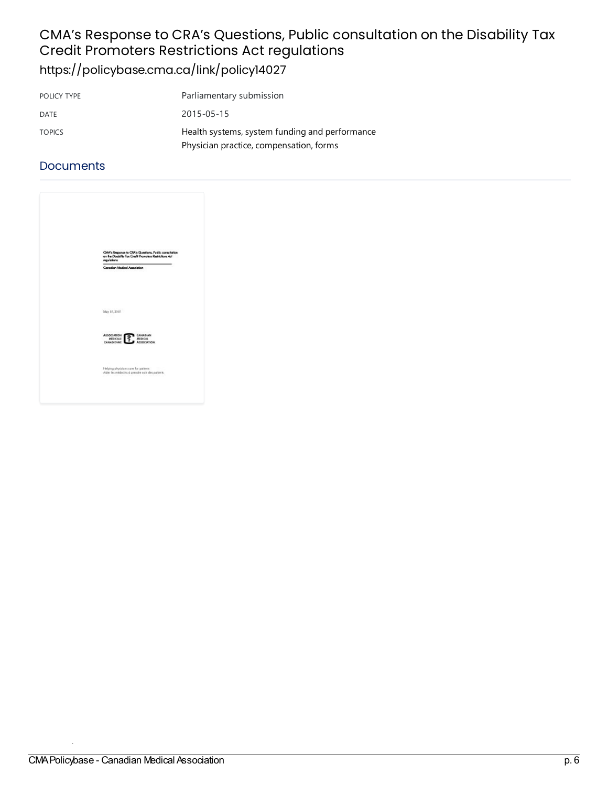# CMA's Response to CRA's Questions, Public consultation on the Disability Tax Credit Promoters Restrictions Act regulations

<https://policybase.cma.ca/link/policy14027>

| POLICY TYPE   | Parliamentary submission                       |
|---------------|------------------------------------------------|
| DATE          | 2015-05-15                                     |
| <b>TOPICS</b> | Health systems, system funding and performance |
|               | Physician practice, compensation, forms        |

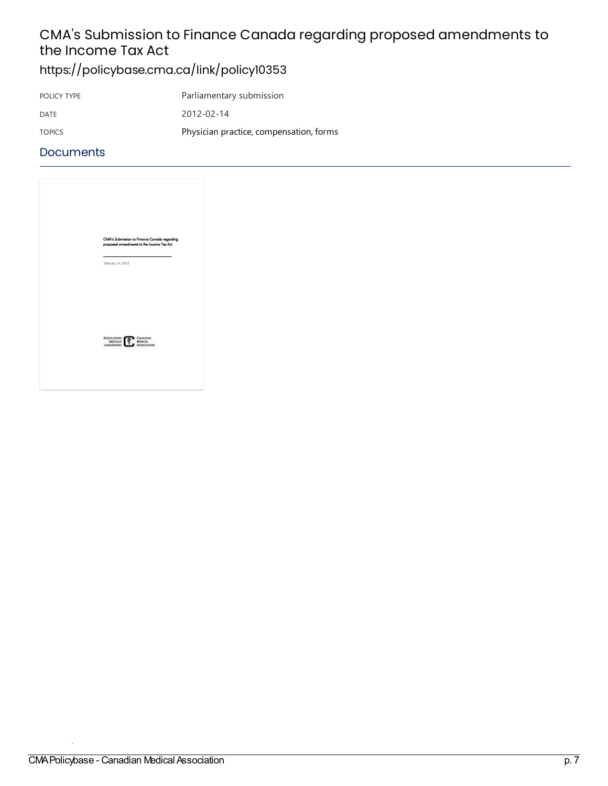# CMA's Submission to Finance Canada regarding proposed amendments to the Income Tax Act

<https://policybase.cma.ca/link/policy10353>

| POLICY TYPE   | Parliamentary submission                |
|---------------|-----------------------------------------|
| DATE          | 2012-02-14                              |
| <b>TOPICS</b> | Physician practice, compensation, forms |

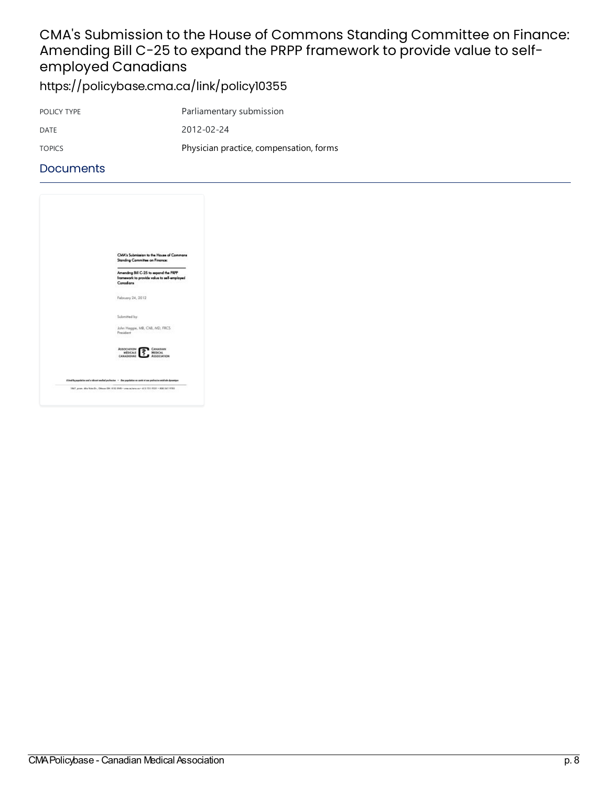## CMA's Submission to the House of Commons Standing Committee on Finance: Amending Bill C-25 to expand the PRPP framework to provide value to selfemployed Canadians

<https://policybase.cma.ca/link/policy10355>

| POLICY TYPE   | Parliamentary submission                |
|---------------|-----------------------------------------|
| DATE          | 2012-02-24                              |
| <b>TOPICS</b> | Physician practice, compensation, forms |

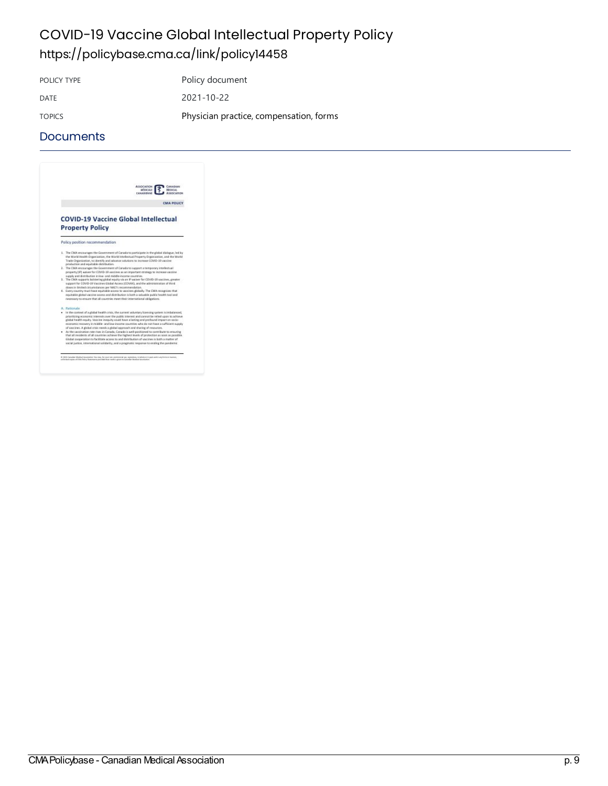### COVID-19 Vaccine Global Intellectual Property Policy <https://policybase.cma.ca/link/policy14458>

POLICY TYPE POLICY TYPE

DATE 2021-10-22 TOPICS **Physician practice, compensation, forms** 

#### **Documents**



 $\label{thm:main} 0.303\text{ Gaussian likelihood time} is an infinite value, we may have some same values in any exponential value of the being bounded by a multiple of the two points.}$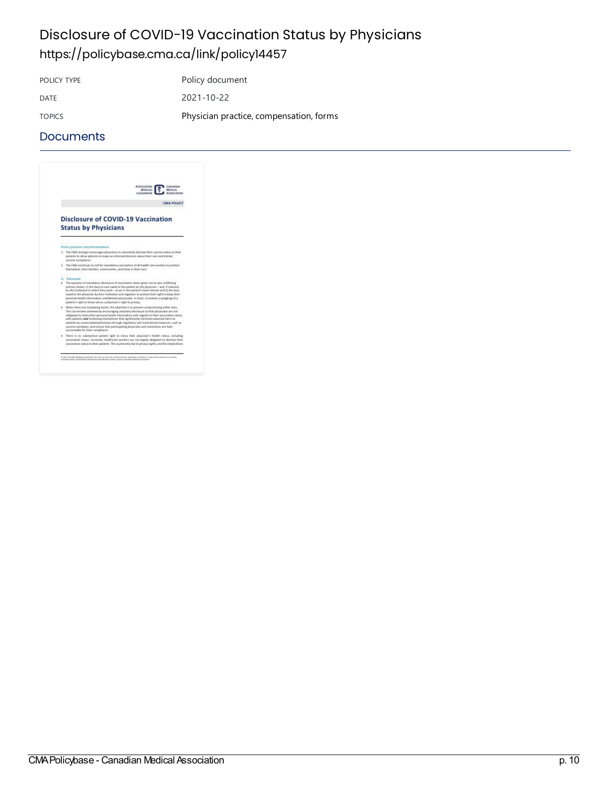## Disclosure of COVID-19 Vaccination Status by Physicians <https://policybase.cma.ca/link/policy14457>

POLICY TYPE POLICY TYPE DATE 2021-10-22 TOPICS **Physician practice, compensation, forms** 

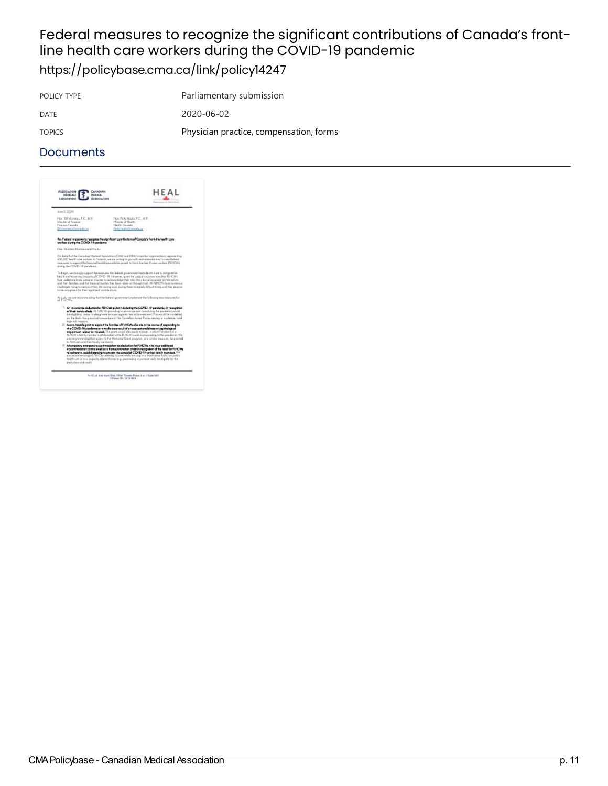# Federal measures to recognize the significant contributions of Canada's frontline health care workers during the COVID-19 pandemic

<https://policybase.cma.ca/link/policy14247>

POLICY TYPE Parliamentary submission DATE 2020-06-02 TOPICS **Physician practice, compensation, forms** 

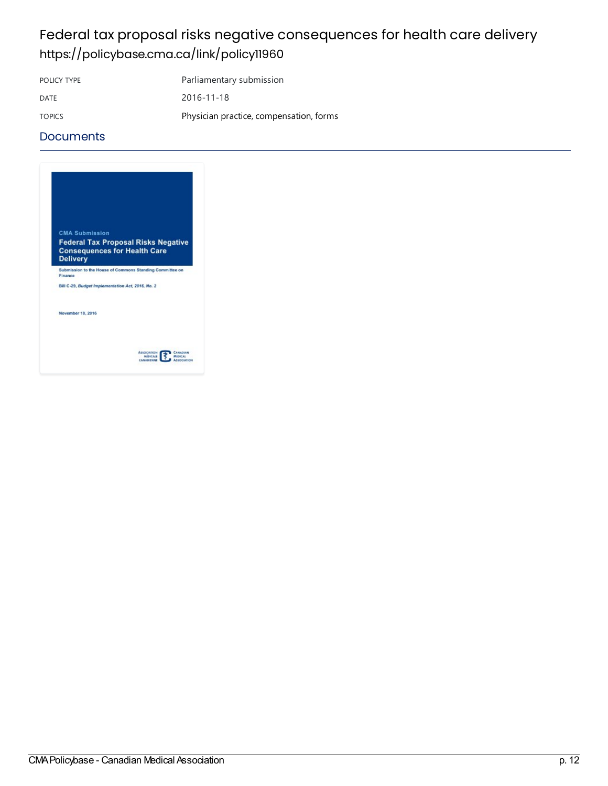### Federal tax proposal risks negative consequences for health care delivery <https://policybase.cma.ca/link/policy11960>

POLICY TYPE Parliamentary submission

DATE 2016-11-18 TOPICS **Physician practice, compensation, forms** 

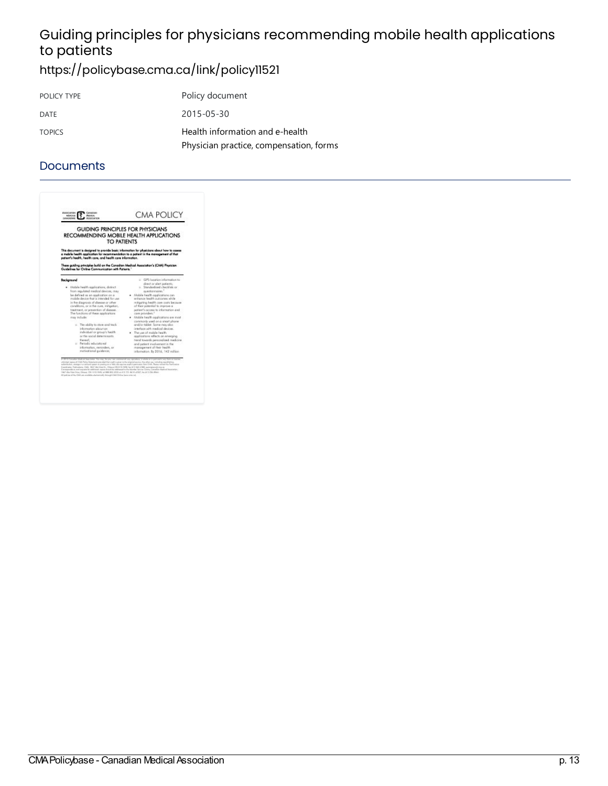# Guiding principles for physicians recommending mobile health applications to patients

<https://policybase.cma.ca/link/policy11521>

| POLICY TYPE   | Policy document                                                            |
|---------------|----------------------------------------------------------------------------|
| DATE          | 2015-05-30                                                                 |
| <b>TOPICS</b> | Health information and e-health<br>Physician practice, compensation, forms |

| GUIDING PRINCIPLES FOR PHYSICIANS<br>RECOMMENDING MOBILE HEALTH APPLICATIONS<br>TO PATIENTS                                                                                                                                                                                                                                                                                                                                                                                                                                                                                          |                                                                                                                                                                                                                                                                                                                                                                                                                                                                                                                                                                                                                                                                                                         |
|--------------------------------------------------------------------------------------------------------------------------------------------------------------------------------------------------------------------------------------------------------------------------------------------------------------------------------------------------------------------------------------------------------------------------------------------------------------------------------------------------------------------------------------------------------------------------------------|---------------------------------------------------------------------------------------------------------------------------------------------------------------------------------------------------------------------------------------------------------------------------------------------------------------------------------------------------------------------------------------------------------------------------------------------------------------------------------------------------------------------------------------------------------------------------------------------------------------------------------------------------------------------------------------------------------|
| This document is designed to provide besic information for physicians about how to essess<br>a mabile health goalication for recommendation to a patient in the management of that<br>potent's hooth, health care, and health care information.<br>These guiding principles build on the Canadian Medical Association's (CMA) Physician<br>Guidelines for Chiline Communication with Potteria."                                                                                                                                                                                      |                                                                                                                                                                                                                                                                                                                                                                                                                                                                                                                                                                                                                                                                                                         |
| Background<br>· Mobile health agalications, distinct<br>from regulated medical devices; may<br>be defined as an application on a<br>mobile device that is intended for use<br>is the dispects of disease or other<br>conditions, or in the cure, mitigation,<br>tischnest or areverfan of disease.<br>The functions of these opplications<br>may include:<br>o. The ability to store and track<br>information about an<br>individual or group's health.<br>or the social determinants.<br>therach.<br>o Pariodic aducational<br>information, reminders, or<br>motivational quidance; | o GPS location information to<br>direct or glert potients;<br>o. Stonekodized checklists or<br>puerticampires."<br>· Mobile health goal jostions can<br>enhance begith outcomes while<br>reitigating begith care page because<br>of their potential to improve a<br>potient's access to information and<br>cars providers. <sup>1</sup><br>· Wobile health applications are most<br>commonly used on a smart phone<br>and/ar tablet. Same may also<br>interface with readical devices.<br>. The use of mobile health.<br>applications reflects on energing<br>trand towards personalized medicine<br>and patient involvement in the<br>management of their health.<br>information. By 2016, 142 million |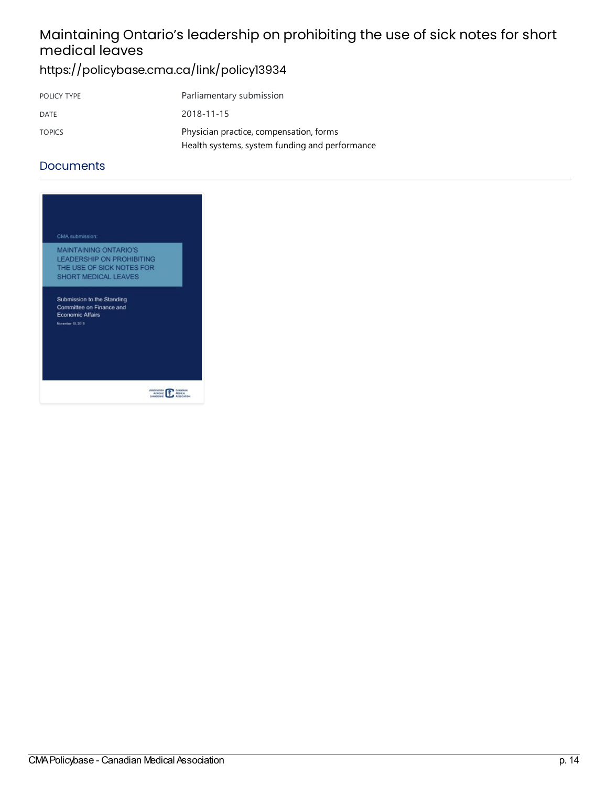# Maintaining Ontario's leadership on prohibiting the use of sick notes for short medical leaves

## <https://policybase.cma.ca/link/policy13934>

| POLICY TYPE   | Parliamentary submission                       |
|---------------|------------------------------------------------|
| DATE          | 2018-11-15                                     |
| <b>TOPICS</b> | Physician practice, compensation, forms        |
|               | Health systems, system funding and performance |

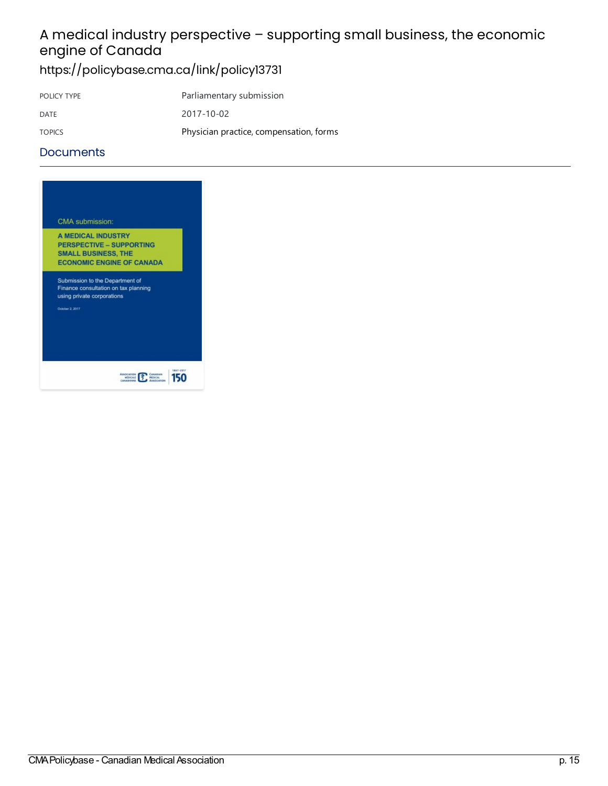# A medical industry perspective – supporting small business, the economic engine of Canada

<https://policybase.cma.ca/link/policy13731>

| POLICY TYPE   | Parliamentary submission                |
|---------------|-----------------------------------------|
| DATE          | 2017-10-02                              |
| <b>TOPICS</b> | Physician practice, compensation, forms |

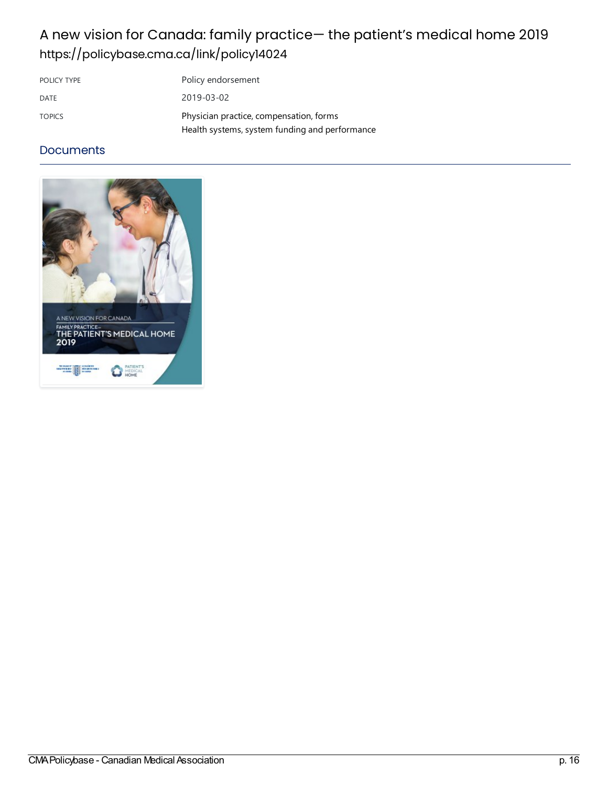## A new vision for Canada: family practice— the patient's medical home 2019 <https://policybase.cma.ca/link/policy14024>

| POLICY TYPE   | Policy endorsement                                                                        |
|---------------|-------------------------------------------------------------------------------------------|
| DATE          | 2019-03-02                                                                                |
| <b>TOPICS</b> | Physician practice, compensation, forms<br>Health systems, system funding and performance |

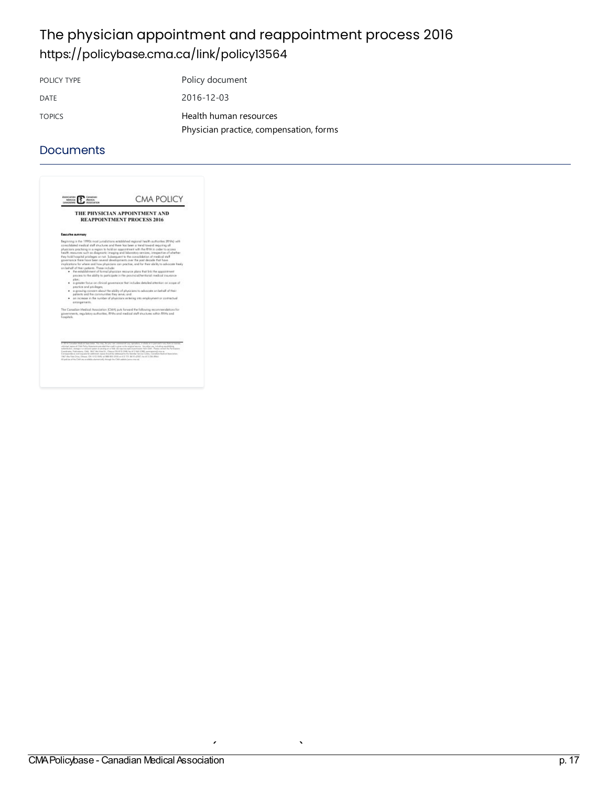## The physician appointment and reappointment process 2016 <https://policybase.cma.ca/link/policy13564>

POLICY TYPE Policy document DATE 2016-12-03 TOPICS Health human [resources](https://policybase.cma.ca/list?q=topic%253A%2522Health%20human%20resources%2522&p=1&ps=&sort=title_sort%20asc) Physician practice, compensation, forms

|                                                                                                                                                   | THE PHYSICIAN APPOINTMENT AND<br><b>REAPPOINTMENT PROCESS 2016</b>                                                                                                                                                                                                                                                                                                                                                                                                                                                                                                                                                                                                                                                                                                                                                                                                                                                                                                                                                                                                                                    |
|---------------------------------------------------------------------------------------------------------------------------------------------------|-------------------------------------------------------------------------------------------------------------------------------------------------------------------------------------------------------------------------------------------------------------------------------------------------------------------------------------------------------------------------------------------------------------------------------------------------------------------------------------------------------------------------------------------------------------------------------------------------------------------------------------------------------------------------------------------------------------------------------------------------------------------------------------------------------------------------------------------------------------------------------------------------------------------------------------------------------------------------------------------------------------------------------------------------------------------------------------------------------|
| Executive summary                                                                                                                                 |                                                                                                                                                                                                                                                                                                                                                                                                                                                                                                                                                                                                                                                                                                                                                                                                                                                                                                                                                                                                                                                                                                       |
| on beholf of their petients. These include:<br>alon:<br>proctice and privileges;<br>patients and the communities they serve; and<br>garangements. | to separate marked and the met and there has been a trend toward inquiring of<br>physicians practising in a region to hald an appointment with the RHA in order to access<br>health resources such as diagnostic imaging and loboratory services, imagective of whether<br>free bold hospital prideoes or not. Subsequent to the consolidation of medical staff<br>powersance there have been several developments over the past decade that have<br>insplications for where and how physicians can practise, and for their ability to advocate treely.<br>. the establishment of formal physician resource plans that link the appointment<br>elected to the ability to participate in the provincial/territorial medical insurance -<br>· suggester focus on clinical powers ance that includes detailed attention on scope of<br>. In growing concern about the ability of plysicians to advocate on behalf of their<br>. In increase in the number of physicians estering into employment or contractual<br>The Canadian Medical Association (CMA) puts forward the following seconosydeticss for |
| hospitals.                                                                                                                                        | povernments, regulatory authorities. RHAs and medical staff stuctures within RHAs and                                                                                                                                                                                                                                                                                                                                                                                                                                                                                                                                                                                                                                                                                                                                                                                                                                                                                                                                                                                                                 |
| 1 BA7 Alta Kida Driva, Omsaa, OH, 610, BA9, sal 886 800, 2555 at 413 173 3610-2007; San 67 236 Altani,                                            | attituded segment CAM Public Entertainty precised that a sale is given recibe entertaint assets. This structure is an including separately as<br>solicitization, unanga in a cancer ligeam an paraly and Wab dai negotial againtmacentalism family DAA. Plassa compar the Permanent<br>Considerer Publications, CML 18AT Mar Vues Ch., Chinana Chi 47 El 1948, Apr 61 3 540 - 2082; exeminational creation<br>Denigrowle or and supere for additional mates doubt for infrience/or the Mordan Denis Cartes, Canadian Head-of-Jepsepteries,                                                                                                                                                                                                                                                                                                                                                                                                                                                                                                                                                            |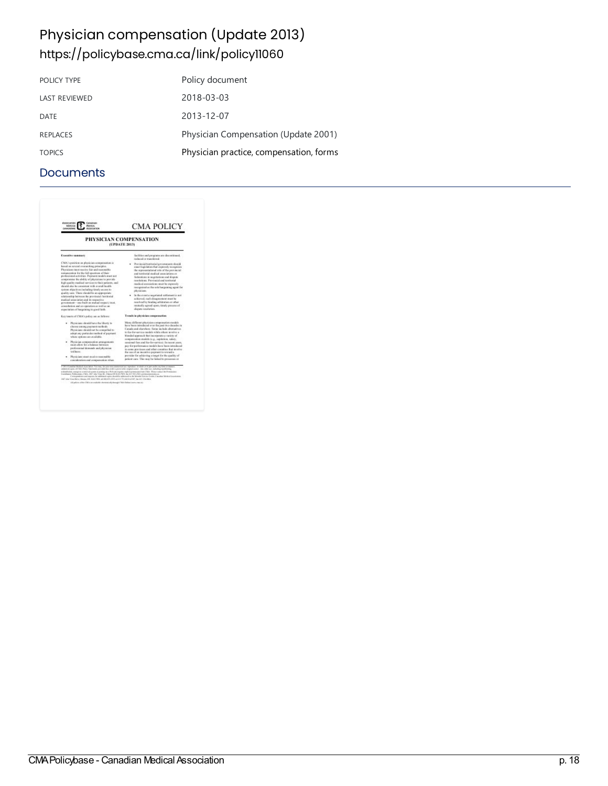# Physician compensation (Update 2013) <https://policybase.cma.ca/link/policy11060>

| POLICY TYPE          | Policy document                         |
|----------------------|-----------------------------------------|
| <b>LAST REVIEWED</b> | 2018-03-03                              |
| DATE                 | 2013-12-07                              |
| <b>REPLACES</b>      | Physician Compensation (Update 2001)    |
| <b>TOPICS</b>        | Physician practice, compensation, forms |

| <b>Association</b><br>CANADIAN<br>MOCAR<br><b>Mapical</b><br>Association<br><b>ANADEMIE</b>                                                                                                                                                                                                                                                                                                                                                                                                                                                                                                                                      | <b>CMA POLICY</b>                                                                                                                                                                                                                                                                                                                                                                |  |
|----------------------------------------------------------------------------------------------------------------------------------------------------------------------------------------------------------------------------------------------------------------------------------------------------------------------------------------------------------------------------------------------------------------------------------------------------------------------------------------------------------------------------------------------------------------------------------------------------------------------------------|----------------------------------------------------------------------------------------------------------------------------------------------------------------------------------------------------------------------------------------------------------------------------------------------------------------------------------------------------------------------------------|--|
| PHYSICIAN COMPENSATION<br>(UPDATE 2013)                                                                                                                                                                                                                                                                                                                                                                                                                                                                                                                                                                                          |                                                                                                                                                                                                                                                                                                                                                                                  |  |
| Executive summary                                                                                                                                                                                                                                                                                                                                                                                                                                                                                                                                                                                                                | facilities and programs are discontinued.<br>reclaced or transferred.                                                                                                                                                                                                                                                                                                            |  |
| CMA's pushing on physician marganuation is<br>kased on several everarching principles.<br>Phyricians runst renewe fair and reasonable<br>remaneration for the fall assettant of their<br>prefereiread activities. Premant models must not<br>obiverag at autoicide of plays advancements<br>high quality studies) services to their patients, and<br>dead throw die receiver and sold health<br>or assess which is allefind a systems assessed                                                                                                                                                                                   | Previncial/temiterial exceptures); should<br>exact legislation that auprendy neognitus<br>the representational role of the representation<br>and testitorial modical accordations or<br>federations in equitations and dispute-<br>resolutions. Previncial and temberial<br>readical associations next be opposedy<br>recognized as the sole bargaining appet for<br>plyvärians. |  |
| goal by care. There should be an appropriate<br>relationship between the previousal Autriceial<br>medical association and its reconstive-<br>from Joness last on the fight one-manners recognized<br>ness to firm as and no-operation as well as an<br>expectation of burgaining in good faith.                                                                                                                                                                                                                                                                                                                                  | In the event a negotiated settlement is not<br>ackieved, such disagreement must be<br>resolved by hinding arbitration or other<br>racateally agreed upon, timely process of<br>dispute resultation.                                                                                                                                                                              |  |
| Ken tracts of CMA's police am as follows:                                                                                                                                                                                                                                                                                                                                                                                                                                                                                                                                                                                        | Trends in physician compensation                                                                                                                                                                                                                                                                                                                                                 |  |
| · Physicians should have the liberty to<br>chross among payment racticula.<br>Physicians should not be compelled to<br>adopt any posticular radius of payment.<br>where motions are available.                                                                                                                                                                                                                                                                                                                                                                                                                                   | Many different physician componenties medals.<br>have been introduced ever the past two decades in<br>Canada and obarations. Sums include alternatives.<br>to the for-service models while ethers involve a<br>blunded approach that incorporate a variety of<br>responsation models (e.g., capitation, salary,                                                                  |  |
| . Physician reorganization arrangements<br>must allow for a halance between<br>professional demands and physician<br>well becar.                                                                                                                                                                                                                                                                                                                                                                                                                                                                                                 | septional fairs and for-fire-service). In recent years,<br>are for exclanations models have been introduced<br>in some previouss and other constrict that involve-<br>the tea of an incentive payment to retruct a                                                                                                                                                               |  |
| · Physicians must meeter reasonable<br>consideration and compensation when                                                                                                                                                                                                                                                                                                                                                                                                                                                                                                                                                       | previder for adhieving a target for the quality of<br>patient cars. This may be listind to processes or                                                                                                                                                                                                                                                                          |  |
| F-26' of Cunadian Modical Association. Your trace, for price suite constructed and reproduce, incubible at its pate analise on the form at manner.<br>admitsed upon aRTMA Policy Kasymans presided that medicin given to the ariginal account. Any other one, including expeditioning<br>solutificates, energy to contributing sees or putting on a Richald require explicit premission from CMA. Please notice the Pennissimo<br>Combane Publication, CMA, 187 and Von St., Onesa ONS 45 FWA for (1) NG2012 permeabook area on<br>1407 Also Vice-Reno Geogra (EN \$100 FRE) at metablicities of 17 Lening CIP, by \$11 216 FREE | Cartespondence and regions for additional aspire abundable addressed to the Member fore far Centro. Canadian Medical Acapitations<br>All salesy white Chilin personalistic chemicals through Chilin Online traces conceiv-                                                                                                                                                       |  |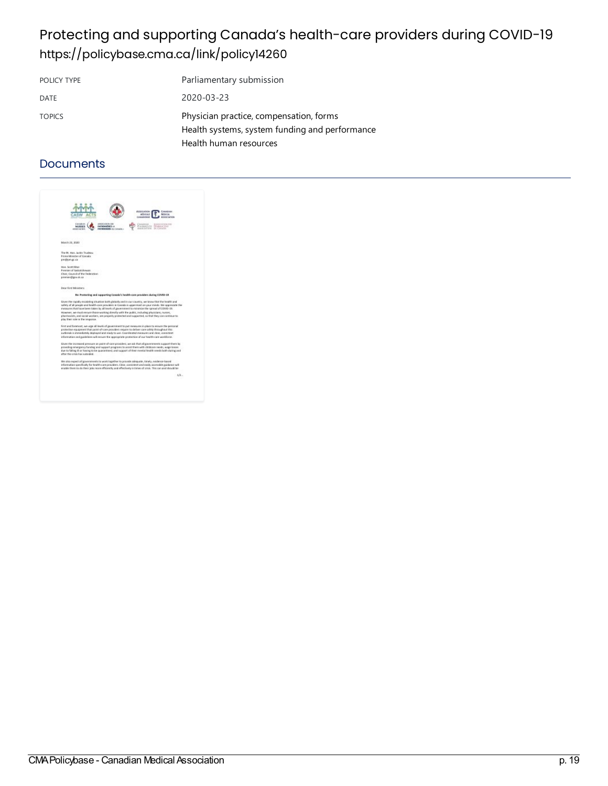## Protecting and supporting Canada's health-care providers during COVID-19 <https://policybase.cma.ca/link/policy14260>

| POLICY TYPE   | Parliamentary submission                                                                  |
|---------------|-------------------------------------------------------------------------------------------|
| DATE          | 2020-03-23                                                                                |
| <b>TOPICS</b> | Physician practice, compensation, forms<br>Health systems, system funding and performance |
|               | Health human resources                                                                    |